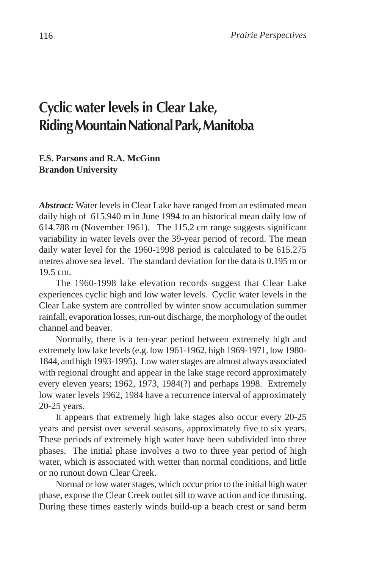# **Cyclic water levels in Clear Lake, Riding Mountain National Park, Manitoba**

#### **F.S. Parsons and R.A. McGinn Brandon University**

*Abstract:* Water levels in Clear Lake have ranged from an estimated mean daily high of 615.940 m in June 1994 to an historical mean daily low of 614.788 m (November 1961). The 115.2 cm range suggests significant variability in water levels over the 39-year period of record. The mean daily water level for the 1960-1998 period is calculated to be 615.275 metres above sea level. The standard deviation for the data is 0.195 m or 19.5 cm.

The 1960-1998 lake elevation records suggest that Clear Lake experiences cyclic high and low water levels. Cyclic water levels in the Clear Lake system are controlled by winter snow accumulation summer rainfall, evaporation losses, run-out discharge, the morphology of the outlet channel and beaver.

Normally, there is a ten-year period between extremely high and extremely low lake levels (e.g. low 1961-1962, high 1969-1971, low 1980- 1844, and high 1993-1995). Low water stages are almost always associated with regional drought and appear in the lake stage record approximately every eleven years; 1962, 1973, 1984(?) and perhaps 1998. Extremely low water levels 1962, 1984 have a recurrence interval of approximately 20-25 years.

It appears that extremely high lake stages also occur every 20-25 years and persist over several seasons, approximately five to six years. These periods of extremely high water have been subdivided into three phases. The initial phase involves a two to three year period of high water, which is associated with wetter than normal conditions, and little or no runout down Clear Creek.

Normal or low water stages, which occur prior to the initial high water phase, expose the Clear Creek outlet sill to wave action and ice thrusting. During these times easterly winds build-up a beach crest or sand berm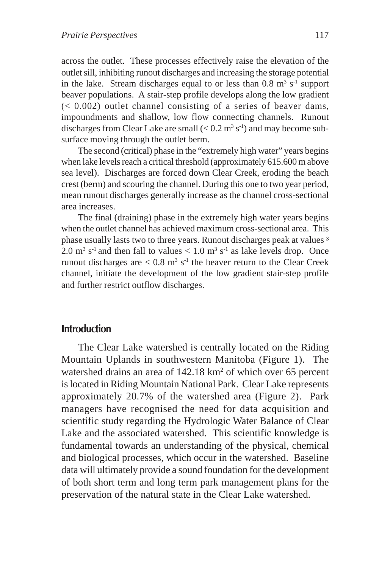across the outlet. These processes effectively raise the elevation of the outlet sill, inhibiting runout discharges and increasing the storage potential in the lake. Stream discharges equal to or less than  $0.8 \text{ m}^3 \text{ s}^{-1}$  support beaver populations. A stair-step profile develops along the low gradient  $( $0.002$ ) outlet channel consisting of a series of beaver dams,$ impoundments and shallow, low flow connecting channels. Runout discharges from Clear Lake are small  $(< 0.2 \text{ m}^3 \text{ s}^{-1})$  and may become subsurface moving through the outlet berm.

The second (critical) phase in the "extremely high water" years begins when lake levels reach a critical threshold (approximately 615.600 m above sea level). Discharges are forced down Clear Creek, eroding the beach crest (berm) and scouring the channel. During this one to two year period, mean runout discharges generally increase as the channel cross-sectional area increases.

The final (draining) phase in the extremely high water years begins when the outlet channel has achieved maximum cross-sectional area. This phase usually lasts two to three years. Runout discharges peak at values <sup>3</sup> 2.0  $\text{m}^3$  s<sup>-1</sup> and then fall to values < 1.0  $\text{m}^3$  s<sup>-1</sup> as lake levels drop. Once runout discharges are  $< 0.8$  m<sup>3</sup> s<sup>-1</sup> the beaver return to the Clear Creek channel, initiate the development of the low gradient stair-step profile and further restrict outflow discharges.

### **Introduction**

The Clear Lake watershed is centrally located on the Riding Mountain Uplands in southwestern Manitoba (Figure 1). The watershed drains an area of 142.18 km<sup>2</sup> of which over 65 percent is located in Riding Mountain National Park. Clear Lake represents approximately 20.7% of the watershed area (Figure 2). Park managers have recognised the need for data acquisition and scientific study regarding the Hydrologic Water Balance of Clear Lake and the associated watershed. This scientific knowledge is fundamental towards an understanding of the physical, chemical and biological processes, which occur in the watershed. Baseline data will ultimately provide a sound foundation for the development of both short term and long term park management plans for the preservation of the natural state in the Clear Lake watershed.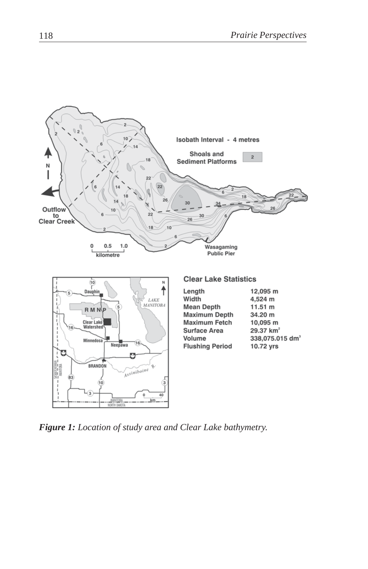

*Figure 1: Location of study area and Clear Lake bathymetry.*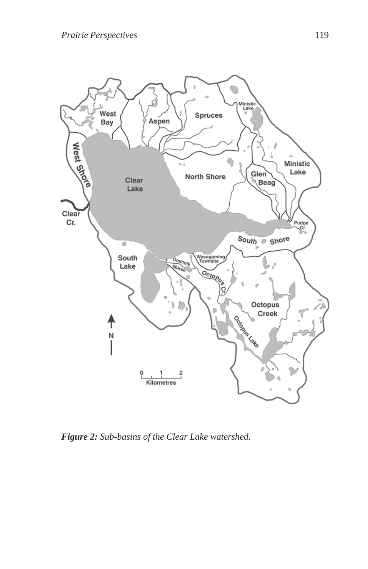

*Figure 2: Sub-basins of the Clear Lake watershed.*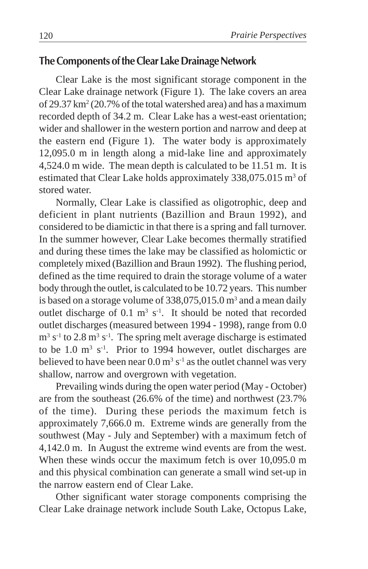# **The Components of the Clear Lake Drainage Network**

Clear Lake is the most significant storage component in the Clear Lake drainage network (Figure 1). The lake covers an area of 29.37 km<sup>2</sup> (20.7% of the total watershed area) and has a maximum recorded depth of 34.2 m. Clear Lake has a west-east orientation; wider and shallower in the western portion and narrow and deep at the eastern end (Figure 1). The water body is approximately 12,095.0 m in length along a mid-lake line and approximately 4,524.0 m wide. The mean depth is calculated to be 11.51 m. It is estimated that Clear Lake holds approximately 338,075.015 m<sup>3</sup> of stored water.

Normally, Clear Lake is classified as oligotrophic, deep and deficient in plant nutrients (Bazillion and Braun 1992), and considered to be diamictic in that there is a spring and fall turnover. In the summer however, Clear Lake becomes thermally stratified and during these times the lake may be classified as holomictic or completely mixed (Bazillion and Braun 1992). The flushing period, defined as the time required to drain the storage volume of a water body through the outlet, is calculated to be 10.72 years. This number is based on a storage volume of  $338,075,015.0$  m<sup>3</sup> and a mean daily outlet discharge of  $0.1 \text{ m}^3 \text{ s}^{-1}$ . It should be noted that recorded outlet discharges (measured between 1994 - 1998), range from 0.0  $m<sup>3</sup>$  s<sup>-1</sup> to 2.8 m<sup>3</sup> s<sup>-1</sup>. The spring melt average discharge is estimated to be  $1.0 \text{ m}^3 \text{ s}^{-1}$ . Prior to 1994 however, outlet discharges are believed to have been near  $0.0 \text{ m}^3 \text{ s}^{-1}$  as the outlet channel was very shallow, narrow and overgrown with vegetation.

Prevailing winds during the open water period (May - October) are from the southeast (26.6% of the time) and northwest (23.7% of the time). During these periods the maximum fetch is approximately 7,666.0 m. Extreme winds are generally from the southwest (May - July and September) with a maximum fetch of 4,142.0 m. In August the extreme wind events are from the west. When these winds occur the maximum fetch is over 10,095.0 m and this physical combination can generate a small wind set-up in the narrow eastern end of Clear Lake.

Other significant water storage components comprising the Clear Lake drainage network include South Lake, Octopus Lake,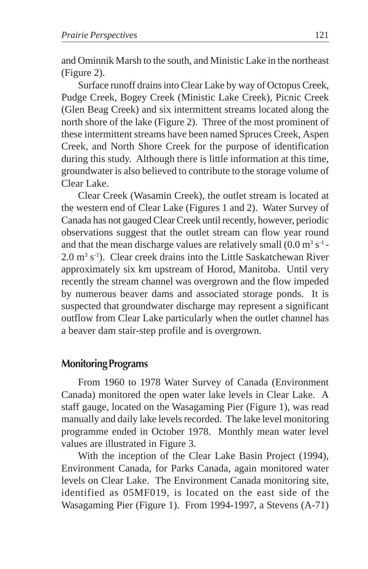and Ominnik Marsh to the south, and Ministic Lake in the northeast (Figure 2).

Surface runoff drains into Clear Lake by way of Octopus Creek, Pudge Creek, Bogey Creek (Ministic Lake Creek), Picnic Creek (Glen Beag Creek) and six intermittent streams located along the north shore of the lake (Figure 2). Three of the most prominent of these intermittent streams have been named Spruces Creek, Aspen Creek, and North Shore Creek for the purpose of identification during this study. Although there is little information at this time, groundwater is also believed to contribute to the storage volume of Clear Lake.

Clear Creek (Wasamin Creek), the outlet stream is located at the western end of Clear Lake (Figures 1 and 2). Water Survey of Canada has not gauged Clear Creek until recently, however, periodic observations suggest that the outlet stream can flow year round and that the mean discharge values are relatively small  $(0.0 \text{ m}^3 \text{ s}^{-1}$ -2.0 m<sup>3</sup> s<sup>-1</sup>). Clear creek drains into the Little Saskatchewan River approximately six km upstream of Horod, Manitoba. Until very recently the stream channel was overgrown and the flow impeded by numerous beaver dams and associated storage ponds. It is suspected that groundwater discharge may represent a significant outflow from Clear Lake particularly when the outlet channel has a beaver dam stair-step profile and is overgrown.

## **Monitoring Programs**

From 1960 to 1978 Water Survey of Canada (Environment Canada) monitored the open water lake levels in Clear Lake. A staff gauge, located on the Wasagaming Pier (Figure 1), was read manually and daily lake levels recorded. The lake level monitoring programme ended in October 1978. Monthly mean water level values are illustrated in Figure 3.

With the inception of the Clear Lake Basin Project (1994), Environment Canada, for Parks Canada, again monitored water levels on Clear Lake. The Environment Canada monitoring site, identified as 05MF019, is located on the east side of the Wasagaming Pier (Figure 1). From 1994-1997, a Stevens (A-71)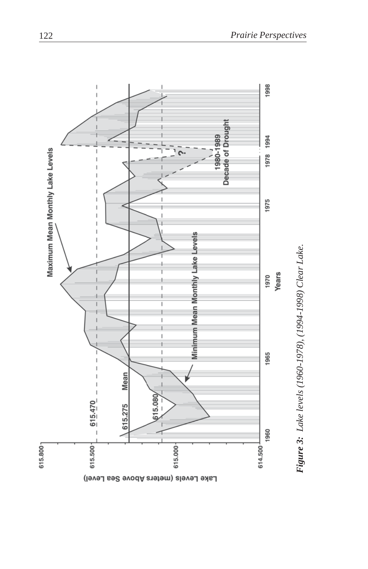

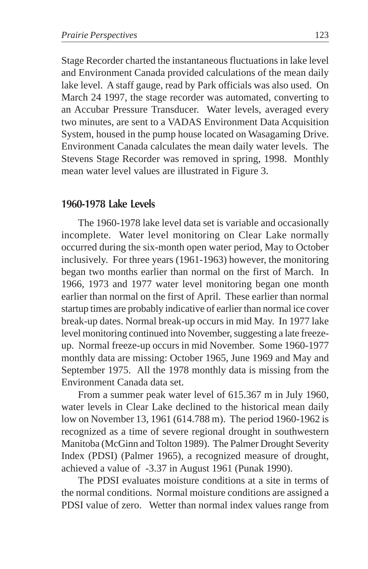Stage Recorder charted the instantaneous fluctuations in lake level and Environment Canada provided calculations of the mean daily lake level. A staff gauge, read by Park officials was also used. On March 24 1997, the stage recorder was automated, converting to an Accubar Pressure Transducer. Water levels, averaged every two minutes, are sent to a VADAS Environment Data Acquisition System, housed in the pump house located on Wasagaming Drive. Environment Canada calculates the mean daily water levels. The Stevens Stage Recorder was removed in spring, 1998. Monthly mean water level values are illustrated in Figure 3.

## **1960-1978 Lake Levels**

The 1960-1978 lake level data set is variable and occasionally incomplete. Water level monitoring on Clear Lake normally occurred during the six-month open water period, May to October inclusively. For three years (1961-1963) however, the monitoring began two months earlier than normal on the first of March. In 1966, 1973 and 1977 water level monitoring began one month earlier than normal on the first of April. These earlier than normal startup times are probably indicative of earlier than normal ice cover break-up dates. Normal break-up occurs in mid May. In 1977 lake level monitoring continued into November, suggesting a late freezeup. Normal freeze-up occurs in mid November. Some 1960-1977 monthly data are missing: October 1965, June 1969 and May and September 1975. All the 1978 monthly data is missing from the Environment Canada data set.

From a summer peak water level of 615.367 m in July 1960, water levels in Clear Lake declined to the historical mean daily low on November 13, 1961 (614.788 m). The period 1960-1962 is recognized as a time of severe regional drought in southwestern Manitoba (McGinn and Tolton 1989). The Palmer Drought Severity Index (PDSI) (Palmer 1965), a recognized measure of drought, achieved a value of -3.37 in August 1961 (Punak 1990).

The PDSI evaluates moisture conditions at a site in terms of the normal conditions. Normal moisture conditions are assigned a PDSI value of zero. Wetter than normal index values range from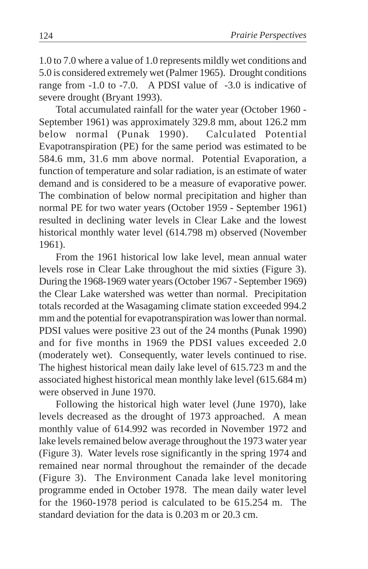1.0 to 7.0 where a value of 1.0 represents mildly wet conditions and 5.0 is considered extremely wet (Palmer 1965). Drought conditions range from -1.0 to -7.0. A PDSI value of -3.0 is indicative of severe drought (Bryant 1993).

Total accumulated rainfall for the water year (October 1960 - September 1961) was approximately 329.8 mm, about 126.2 mm below normal (Punak 1990). Calculated Potential Evapotranspiration (PE) for the same period was estimated to be 584.6 mm, 31.6 mm above normal. Potential Evaporation, a function of temperature and solar radiation, is an estimate of water demand and is considered to be a measure of evaporative power. The combination of below normal precipitation and higher than normal PE for two water years (October 1959 - September 1961) resulted in declining water levels in Clear Lake and the lowest historical monthly water level (614.798 m) observed (November 1961).

From the 1961 historical low lake level, mean annual water levels rose in Clear Lake throughout the mid sixties (Figure 3). During the 1968-1969 water years (October 1967 - September 1969) the Clear Lake watershed was wetter than normal. Precipitation totals recorded at the Wasagaming climate station exceeded 994.2 mm and the potential for evapotranspiration was lower than normal. PDSI values were positive 23 out of the 24 months (Punak 1990) and for five months in 1969 the PDSI values exceeded 2.0 (moderately wet). Consequently, water levels continued to rise. The highest historical mean daily lake level of 615.723 m and the associated highest historical mean monthly lake level (615.684 m) were observed in June 1970.

Following the historical high water level (June 1970), lake levels decreased as the drought of 1973 approached. A mean monthly value of 614.992 was recorded in November 1972 and lake levels remained below average throughout the 1973 water year (Figure 3). Water levels rose significantly in the spring 1974 and remained near normal throughout the remainder of the decade (Figure 3). The Environment Canada lake level monitoring programme ended in October 1978. The mean daily water level for the 1960-1978 period is calculated to be 615.254 m. The standard deviation for the data is 0.203 m or 20.3 cm.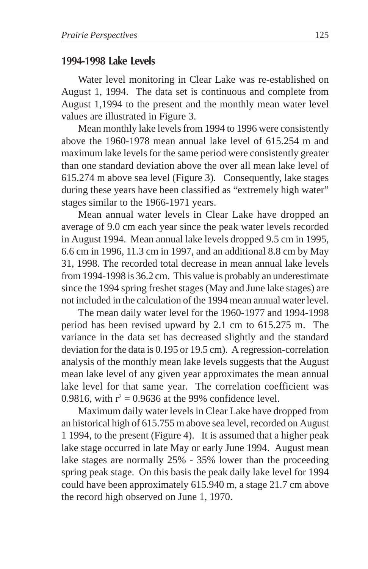#### **1994-1998 Lake Levels**

Water level monitoring in Clear Lake was re-established on August 1, 1994. The data set is continuous and complete from August 1,1994 to the present and the monthly mean water level values are illustrated in Figure 3.

Mean monthly lake levels from 1994 to 1996 were consistently above the 1960-1978 mean annual lake level of 615.254 m and maximum lake levels for the same period were consistently greater than one standard deviation above the over all mean lake level of 615.274 m above sea level (Figure 3). Consequently, lake stages during these years have been classified as "extremely high water" stages similar to the 1966-1971 years.

Mean annual water levels in Clear Lake have dropped an average of 9.0 cm each year since the peak water levels recorded in August 1994. Mean annual lake levels dropped 9.5 cm in 1995, 6.6 cm in 1996, 11.3 cm in 1997, and an additional 8.8 cm by May 31, 1998. The recorded total decrease in mean annual lake levels from 1994-1998 is 36.2 cm. This value is probably an underestimate since the 1994 spring freshet stages (May and June lake stages) are not included in the calculation of the 1994 mean annual water level.

The mean daily water level for the 1960-1977 and 1994-1998 period has been revised upward by 2.1 cm to 615.275 m. The variance in the data set has decreased slightly and the standard deviation for the data is 0.195 or 19.5 cm). A regression-correlation analysis of the monthly mean lake levels suggests that the August mean lake level of any given year approximates the mean annual lake level for that same year. The correlation coefficient was 0.9816, with  $r^2 = 0.9636$  at the 99% confidence level.

Maximum daily water levels in Clear Lake have dropped from an historical high of 615.755 m above sea level, recorded on August 1 1994, to the present (Figure 4). It is assumed that a higher peak lake stage occurred in late May or early June 1994. August mean lake stages are normally 25% - 35% lower than the proceeding spring peak stage. On this basis the peak daily lake level for 1994 could have been approximately 615.940 m, a stage 21.7 cm above the record high observed on June 1, 1970.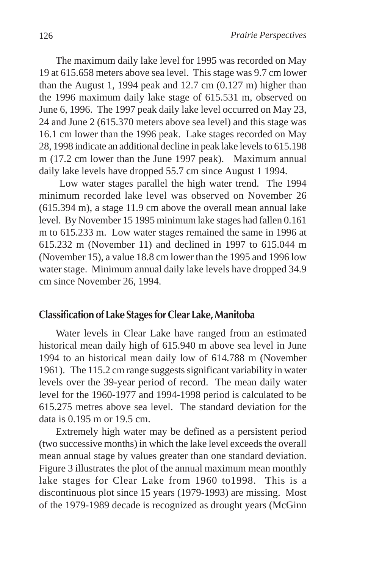The maximum daily lake level for 1995 was recorded on May 19 at 615.658 meters above sea level. This stage was 9.7 cm lower than the August 1, 1994 peak and 12.7 cm (0.127 m) higher than the 1996 maximum daily lake stage of 615.531 m, observed on June 6, 1996. The 1997 peak daily lake level occurred on May 23, 24 and June 2 (615.370 meters above sea level) and this stage was 16.1 cm lower than the 1996 peak. Lake stages recorded on May 28, 1998 indicate an additional decline in peak lake levels to 615.198 m (17.2 cm lower than the June 1997 peak). Maximum annual daily lake levels have dropped 55.7 cm since August 1 1994.

 Low water stages parallel the high water trend. The 1994 minimum recorded lake level was observed on November 26 (615.394 m), a stage 11.9 cm above the overall mean annual lake level. By November 15 1995 minimum lake stages had fallen 0.161 m to 615.233 m. Low water stages remained the same in 1996 at 615.232 m (November 11) and declined in 1997 to 615.044 m (November 15), a value 18.8 cm lower than the 1995 and 1996 low water stage. Minimum annual daily lake levels have dropped 34.9 cm since November 26, 1994.

#### **Classification of Lake Stages for Clear Lake, Manitoba**

Water levels in Clear Lake have ranged from an estimated historical mean daily high of 615.940 m above sea level in June 1994 to an historical mean daily low of 614.788 m (November 1961). The 115.2 cm range suggests significant variability in water levels over the 39-year period of record. The mean daily water level for the 1960-1977 and 1994-1998 period is calculated to be 615.275 metres above sea level. The standard deviation for the data is 0.195 m or 19.5 cm.

Extremely high water may be defined as a persistent period (two successive months) in which the lake level exceeds the overall mean annual stage by values greater than one standard deviation. Figure 3 illustrates the plot of the annual maximum mean monthly lake stages for Clear Lake from 1960 to1998. This is a discontinuous plot since 15 years (1979-1993) are missing. Most of the 1979-1989 decade is recognized as drought years (McGinn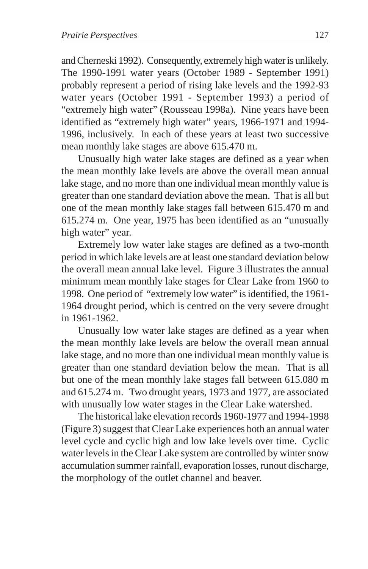and Cherneski 1992). Consequently, extremely high water is unlikely. The 1990-1991 water years (October 1989 - September 1991) probably represent a period of rising lake levels and the 1992-93 water years (October 1991 - September 1993) a period of "extremely high water" (Rousseau 1998a). Nine years have been identified as "extremely high water" years, 1966-1971 and 1994- 1996, inclusively. In each of these years at least two successive mean monthly lake stages are above 615.470 m.

Unusually high water lake stages are defined as a year when the mean monthly lake levels are above the overall mean annual lake stage, and no more than one individual mean monthly value is greater than one standard deviation above the mean. That is all but one of the mean monthly lake stages fall between 615.470 m and 615.274 m. One year, 1975 has been identified as an "unusually high water" year.

Extremely low water lake stages are defined as a two-month period in which lake levels are at least one standard deviation below the overall mean annual lake level. Figure 3 illustrates the annual minimum mean monthly lake stages for Clear Lake from 1960 to 1998. One period of "extremely low water" is identified, the 1961- 1964 drought period, which is centred on the very severe drought in 1961-1962.

Unusually low water lake stages are defined as a year when the mean monthly lake levels are below the overall mean annual lake stage, and no more than one individual mean monthly value is greater than one standard deviation below the mean. That is all but one of the mean monthly lake stages fall between 615.080 m and 615.274 m. Two drought years, 1973 and 1977, are associated with unusually low water stages in the Clear Lake watershed.

The historical lake elevation records 1960-1977 and 1994-1998 (Figure 3) suggest that Clear Lake experiences both an annual water level cycle and cyclic high and low lake levels over time. Cyclic water levels in the Clear Lake system are controlled by winter snow accumulation summer rainfall, evaporation losses, runout discharge, the morphology of the outlet channel and beaver.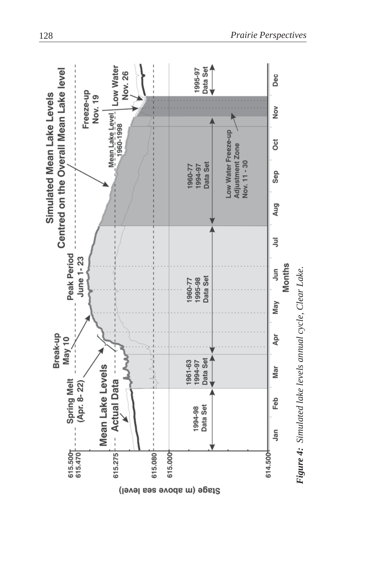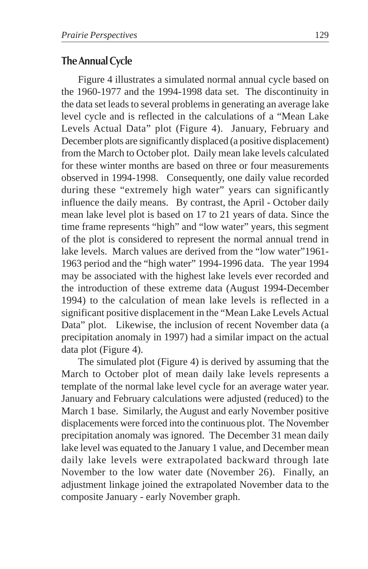## **The Annual Cycle**

Figure 4 illustrates a simulated normal annual cycle based on the 1960-1977 and the 1994-1998 data set. The discontinuity in the data set leads to several problems in generating an average lake level cycle and is reflected in the calculations of a "Mean Lake Levels Actual Data" plot (Figure 4). January, February and December plots are significantly displaced (a positive displacement) from the March to October plot. Daily mean lake levels calculated for these winter months are based on three or four measurements observed in 1994-1998. Consequently, one daily value recorded during these "extremely high water" years can significantly influence the daily means. By contrast, the April - October daily mean lake level plot is based on 17 to 21 years of data. Since the time frame represents "high" and "low water" years, this segment of the plot is considered to represent the normal annual trend in lake levels. March values are derived from the "low water"1961- 1963 period and the "high water" 1994-1996 data. The year 1994 may be associated with the highest lake levels ever recorded and the introduction of these extreme data (August 1994-December 1994) to the calculation of mean lake levels is reflected in a significant positive displacement in the "Mean Lake Levels Actual Data" plot. Likewise, the inclusion of recent November data (a precipitation anomaly in 1997) had a similar impact on the actual data plot (Figure 4).

The simulated plot (Figure 4) is derived by assuming that the March to October plot of mean daily lake levels represents a template of the normal lake level cycle for an average water year. January and February calculations were adjusted (reduced) to the March 1 base. Similarly, the August and early November positive displacements were forced into the continuous plot. The November precipitation anomaly was ignored. The December 31 mean daily lake level was equated to the January 1 value, and December mean daily lake levels were extrapolated backward through late November to the low water date (November 26). Finally, an adjustment linkage joined the extrapolated November data to the composite January - early November graph.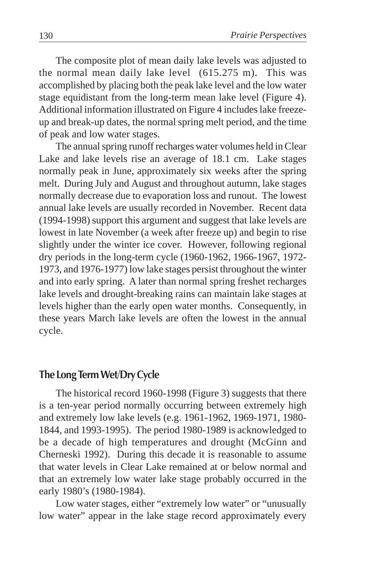The composite plot of mean daily lake levels was adjusted to the normal mean daily lake level (615.275 m). This was accomplished by placing both the peak lake level and the low water stage equidistant from the long-term mean lake level (Figure 4). Additional information illustrated on Figure 4 includes lake freezeup and break-up dates, the normal spring melt period, and the time of peak and low water stages.

The annual spring runoff recharges water volumes held in Clear Lake and lake levels rise an average of 18.1 cm. Lake stages normally peak in June, approximately six weeks after the spring melt. During July and August and throughout autumn, lake stages normally decrease due to evaporation loss and runout. The lowest annual lake levels are usually recorded in November. Recent data (1994-1998) support this argument and suggest that lake levels are lowest in late November (a week after freeze up) and begin to rise slightly under the winter ice cover. However, following regional dry periods in the long-term cycle (1960-1962, 1966-1967, 1972- 1973, and 1976-1977) low lake stages persist throughout the winter and into early spring. A later than normal spring freshet recharges lake levels and drought-breaking rains can maintain lake stages at levels higher than the early open water months. Consequently, in these years March lake levels are often the lowest in the annual cycle.

#### **The Long Term Wet/Dry Cycle**

The historical record 1960-1998 (Figure 3) suggests that there is a ten-year period normally occurring between extremely high and extremely low lake levels (e.g. 1961-1962, 1969-1971, 1980- 1844, and 1993-1995). The period 1980-1989 is acknowledged to be a decade of high temperatures and drought (McGinn and Cherneski 1992). During this decade it is reasonable to assume that water levels in Clear Lake remained at or below normal and that an extremely low water lake stage probably occurred in the early 1980's (1980-1984).

Low water stages, either "extremely low water" or "unusually low water" appear in the lake stage record approximately every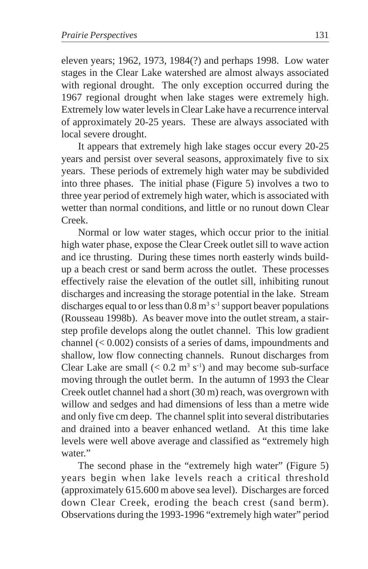eleven years; 1962, 1973, 1984(?) and perhaps 1998. Low water stages in the Clear Lake watershed are almost always associated with regional drought. The only exception occurred during the 1967 regional drought when lake stages were extremely high. Extremely low water levels in Clear Lake have a recurrence interval of approximately 20-25 years. These are always associated with local severe drought.

It appears that extremely high lake stages occur every 20-25 years and persist over several seasons, approximately five to six years. These periods of extremely high water may be subdivided into three phases. The initial phase (Figure 5) involves a two to three year period of extremely high water, which is associated with wetter than normal conditions, and little or no runout down Clear Creek.

Normal or low water stages, which occur prior to the initial high water phase, expose the Clear Creek outlet sill to wave action and ice thrusting. During these times north easterly winds buildup a beach crest or sand berm across the outlet. These processes effectively raise the elevation of the outlet sill, inhibiting runout discharges and increasing the storage potential in the lake. Stream discharges equal to or less than  $0.8 \text{ m}^3 \text{ s}^{-1}$  support beaver populations (Rousseau 1998b). As beaver move into the outlet stream, a stairstep profile develops along the outlet channel. This low gradient channel (< 0.002) consists of a series of dams, impoundments and shallow, low flow connecting channels. Runout discharges from Clear Lake are small  $(< 0.2 \text{ m}^3 \text{ s}^{-1})$  and may become sub-surface moving through the outlet berm. In the autumn of 1993 the Clear Creek outlet channel had a short (30 m) reach, was overgrown with willow and sedges and had dimensions of less than a metre wide and only five cm deep. The channel split into several distributaries and drained into a beaver enhanced wetland. At this time lake levels were well above average and classified as "extremely high water."

The second phase in the "extremely high water" (Figure 5) years begin when lake levels reach a critical threshold (approximately 615.600 m above sea level). Discharges are forced down Clear Creek, eroding the beach crest (sand berm). Observations during the 1993-1996 "extremely high water" period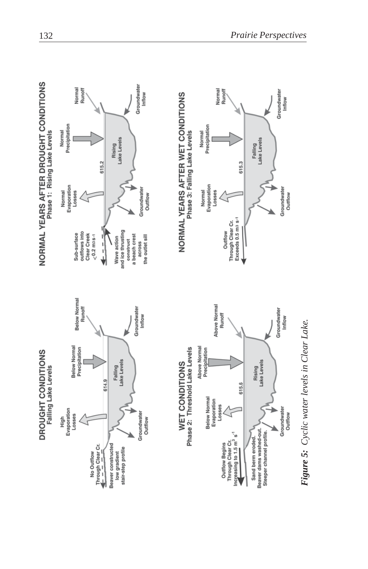

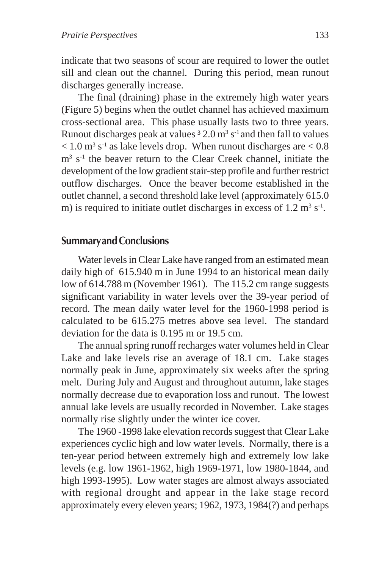indicate that two seasons of scour are required to lower the outlet sill and clean out the channel. During this period, mean runout discharges generally increase.

The final (draining) phase in the extremely high water years (Figure 5) begins when the outlet channel has achieved maximum cross-sectional area. This phase usually lasts two to three years. Runout discharges peak at values  $32.0 \text{ m}^3 \text{ s}^{-1}$  and then fall to values  $< 1.0$  m<sup>3</sup> s<sup>-1</sup> as lake levels drop. When runout discharges are  $< 0.8$ m<sup>3</sup> s<sup>-1</sup> the beaver return to the Clear Creek channel, initiate the development of the low gradient stair-step profile and further restrict outflow discharges. Once the beaver become established in the outlet channel, a second threshold lake level (approximately 615.0 m) is required to initiate outlet discharges in excess of  $1.2 \text{ m}^3 \text{ s}^{-1}$ .

### **Summaryand Conclusions**

Water levels in Clear Lake have ranged from an estimated mean daily high of 615.940 m in June 1994 to an historical mean daily low of 614.788 m (November 1961). The 115.2 cm range suggests significant variability in water levels over the 39-year period of record. The mean daily water level for the 1960-1998 period is calculated to be 615.275 metres above sea level. The standard deviation for the data is 0.195 m or 19.5 cm.

The annual spring runoff recharges water volumes held in Clear Lake and lake levels rise an average of 18.1 cm. Lake stages normally peak in June, approximately six weeks after the spring melt. During July and August and throughout autumn, lake stages normally decrease due to evaporation loss and runout. The lowest annual lake levels are usually recorded in November. Lake stages normally rise slightly under the winter ice cover.

The 1960 -1998 lake elevation records suggest that Clear Lake experiences cyclic high and low water levels. Normally, there is a ten-year period between extremely high and extremely low lake levels (e.g. low 1961-1962, high 1969-1971, low 1980-1844, and high 1993-1995). Low water stages are almost always associated with regional drought and appear in the lake stage record approximately every eleven years; 1962, 1973, 1984(?) and perhaps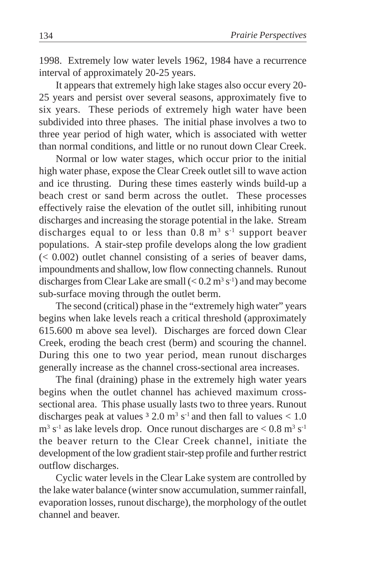1998. Extremely low water levels 1962, 1984 have a recurrence interval of approximately 20-25 years.

It appears that extremely high lake stages also occur every 20- 25 years and persist over several seasons, approximately five to six years. These periods of extremely high water have been subdivided into three phases. The initial phase involves a two to three year period of high water, which is associated with wetter than normal conditions, and little or no runout down Clear Creek.

Normal or low water stages, which occur prior to the initial high water phase, expose the Clear Creek outlet sill to wave action and ice thrusting. During these times easterly winds build-up a beach crest or sand berm across the outlet. These processes effectively raise the elevation of the outlet sill, inhibiting runout discharges and increasing the storage potential in the lake. Stream discharges equal to or less than  $0.8 \text{ m}^3 \text{ s}^{-1}$  support beaver populations. A stair-step profile develops along the low gradient  $( $0.002$ ) outlet channel consisting of a series of beaver.$ impoundments and shallow, low flow connecting channels. Runout discharges from Clear Lake are small  $(< 0.2 \text{ m}^3 \text{ s}^{-1})$  and may become sub-surface moving through the outlet berm.

The second (critical) phase in the "extremely high water" years begins when lake levels reach a critical threshold (approximately 615.600 m above sea level). Discharges are forced down Clear Creek, eroding the beach crest (berm) and scouring the channel. During this one to two year period, mean runout discharges generally increase as the channel cross-sectional area increases.

The final (draining) phase in the extremely high water years begins when the outlet channel has achieved maximum crosssectional area. This phase usually lasts two to three years. Runout discharges peak at values  $32.0 \text{ m}^3 \text{ s}^{-1}$  and then fall to values  $< 1.0$  $\text{m}^3$  s<sup>-1</sup> as lake levels drop. Once runout discharges are  $\lt 0.8$  m<sup>3</sup> s<sup>-1</sup> the beaver return to the Clear Creek channel, initiate the development of the low gradient stair-step profile and further restrict outflow discharges.

Cyclic water levels in the Clear Lake system are controlled by the lake water balance (winter snow accumulation, summer rainfall, evaporation losses, runout discharge), the morphology of the outlet channel and beaver.